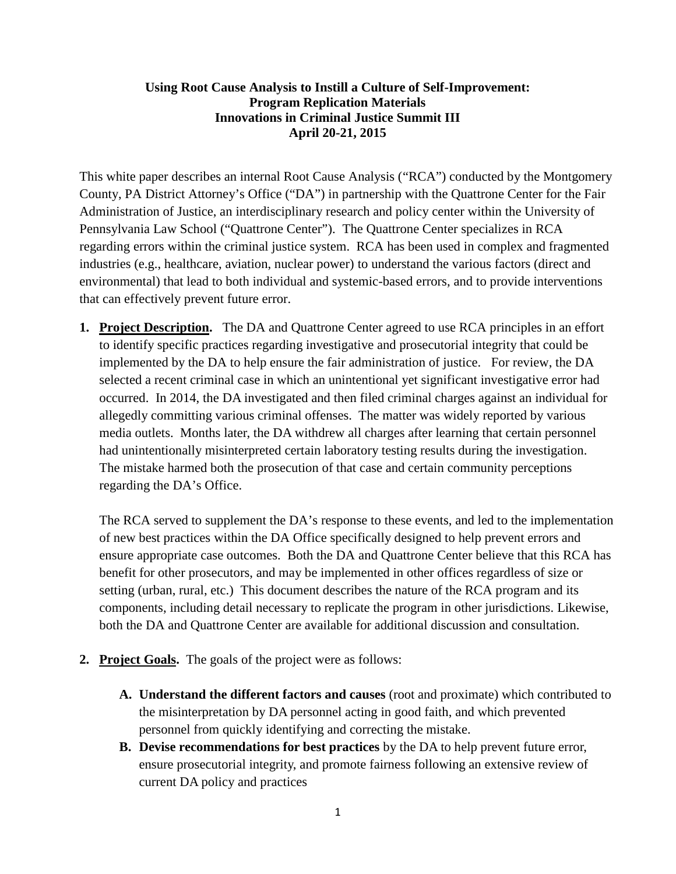## **Using Root Cause Analysis to Instill a Culture of Self-Improvement: Program Replication Materials Innovations in Criminal Justice Summit III April 20-21, 2015**

This white paper describes an internal Root Cause Analysis ("RCA") conducted by the Montgomery County, PA District Attorney's Office ("DA") in partnership with the Quattrone Center for the Fair Administration of Justice, an interdisciplinary research and policy center within the University of Pennsylvania Law School ("Quattrone Center"). The Quattrone Center specializes in RCA regarding errors within the criminal justice system. RCA has been used in complex and fragmented industries (e.g., healthcare, aviation, nuclear power) to understand the various factors (direct and environmental) that lead to both individual and systemic-based errors, and to provide interventions that can effectively prevent future error.

**1. Project Description.** The DA and Quattrone Center agreed to use RCA principles in an effort to identify specific practices regarding investigative and prosecutorial integrity that could be implemented by the DA to help ensure the fair administration of justice. For review, the DA selected a recent criminal case in which an unintentional yet significant investigative error had occurred. In 2014, the DA investigated and then filed criminal charges against an individual for allegedly committing various criminal offenses. The matter was widely reported by various media outlets. Months later, the DA withdrew all charges after learning that certain personnel had unintentionally misinterpreted certain laboratory testing results during the investigation. The mistake harmed both the prosecution of that case and certain community perceptions regarding the DA's Office.

The RCA served to supplement the DA's response to these events, and led to the implementation of new best practices within the DA Office specifically designed to help prevent errors and ensure appropriate case outcomes. Both the DA and Quattrone Center believe that this RCA has benefit for other prosecutors, and may be implemented in other offices regardless of size or setting (urban, rural, etc.) This document describes the nature of the RCA program and its components, including detail necessary to replicate the program in other jurisdictions. Likewise, both the DA and Quattrone Center are available for additional discussion and consultation.

- **2. Project Goals.** The goals of the project were as follows:
	- **A. Understand the different factors and causes** (root and proximate) which contributed to the misinterpretation by DA personnel acting in good faith, and which prevented personnel from quickly identifying and correcting the mistake.
	- **B. Devise recommendations for best practices** by the DA to help prevent future error, ensure prosecutorial integrity, and promote fairness following an extensive review of current DA policy and practices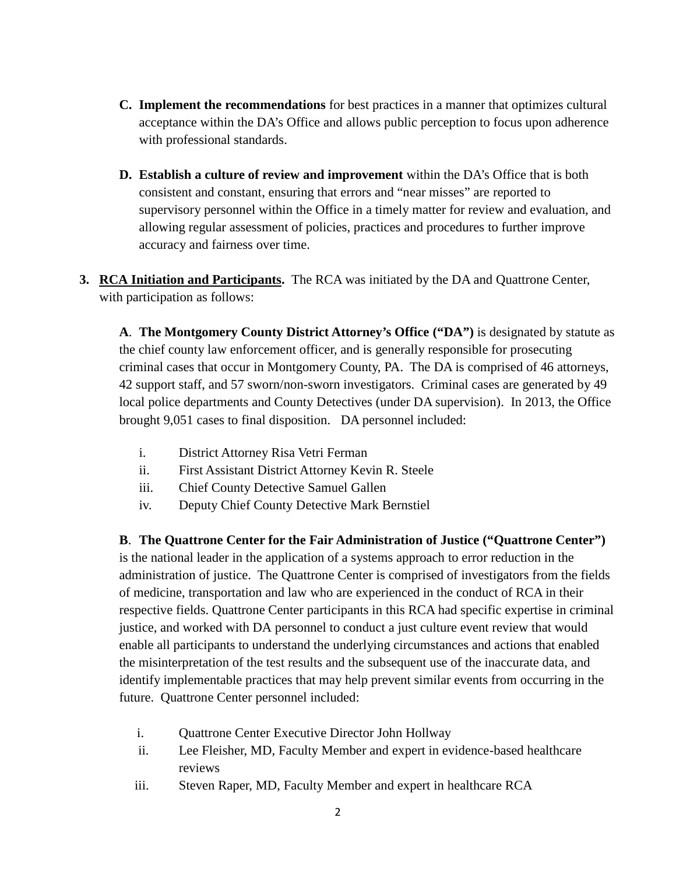- **C. Implement the recommendations** for best practices in a manner that optimizes cultural acceptance within the DA's Office and allows public perception to focus upon adherence with professional standards.
- **D. Establish a culture of review and improvement** within the DA's Office that is both consistent and constant, ensuring that errors and "near misses" are reported to supervisory personnel within the Office in a timely matter for review and evaluation, and allowing regular assessment of policies, practices and procedures to further improve accuracy and fairness over time.
- **3. RCA Initiation and Participants.** The RCA was initiated by the DA and Quattrone Center, with participation as follows:

**A**. **The Montgomery County District Attorney's Office ("DA")** is designated by statute as the chief county law enforcement officer, and is generally responsible for prosecuting criminal cases that occur in Montgomery County, PA. The DA is comprised of 46 attorneys, 42 support staff, and 57 sworn/non-sworn investigators. Criminal cases are generated by 49 local police departments and County Detectives (under DA supervision). In 2013, the Office brought 9,051 cases to final disposition. DA personnel included:

- i. District Attorney Risa Vetri Ferman
- ii. First Assistant District Attorney Kevin R. Steele
- iii. Chief County Detective Samuel Gallen
- iv. Deputy Chief County Detective Mark Bernstiel

**B**. **The Quattrone Center for the Fair Administration of Justice ("Quattrone Center")** is the national leader in the application of a systems approach to error reduction in the administration of justice. The Quattrone Center is comprised of investigators from the fields of medicine, transportation and law who are experienced in the conduct of RCA in their respective fields. Quattrone Center participants in this RCA had specific expertise in criminal justice, and worked with DA personnel to conduct a just culture event review that would enable all participants to understand the underlying circumstances and actions that enabled the misinterpretation of the test results and the subsequent use of the inaccurate data, and identify implementable practices that may help prevent similar events from occurring in the future. Quattrone Center personnel included:

- i. Quattrone Center Executive Director John Hollway
- ii. Lee Fleisher, MD, Faculty Member and expert in evidence-based healthcare reviews
- iii. Steven Raper, MD, Faculty Member and expert in healthcare RCA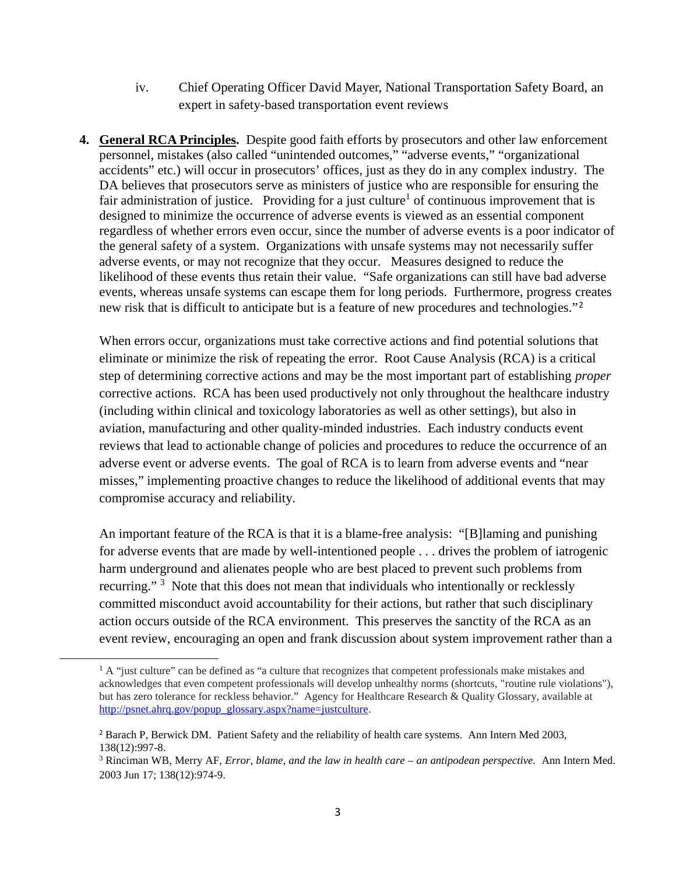- iv. Chief Operating Officer David Mayer, National Transportation Safety Board, an expert in safety-based transportation event reviews
- **4. General RCA Principles.** Despite good faith efforts by prosecutors and other law enforcement personnel, mistakes (also called "unintended outcomes," "adverse events," "organizational accidents" etc.) will occur in prosecutors' offices, just as they do in any complex industry. The DA believes that prosecutors serve as ministers of justice who are responsible for ensuring the fair administration of justice. Providing for a just culture<sup>1</sup> of continuous improvement that is designed to minimize the occurrence of adverse events is viewed as an essential component regardless of whether errors even occur, since the number of adverse events is a poor indicator of the general safety of a system. Organizations with unsafe systems may not necessarily suffer adverse events, or may not recognize that they occur. Measures designed to reduce the likelihood of these events thus retain their value. "Safe organizations can still have bad adverse events, whereas unsafe systems can escape them for long periods. Furthermore, progress creates new risk that is difficult to anticipate but is a feature of new procedures and technologies."<sup>2</sup>

When errors occur, organizations must take corrective actions and find potential solutions that eliminate or minimize the risk of repeating the error. Root Cause Analysis (RCA) is a critical step of determining corrective actions and may be the most important part of establishing *proper* corrective actions. RCA has been used productively not only throughout the healthcare industry (including within clinical and toxicology laboratories as well as other settings), but also in aviation, manufacturing and other quality-minded industries. Each industry conducts event reviews that lead to actionable change of policies and procedures to reduce the occurrence of an adverse event or adverse events. The goal of RCA is to learn from adverse events and "near misses," implementing proactive changes to reduce the likelihood of additional events that may compromise accuracy and reliability.

An important feature of the RCA is that it is a blame-free analysis: "[B]laming and punishing for adverse events that are made by well-intentioned people . . . drives the problem of iatrogenic harm underground and alienates people who are best placed to prevent such problems from recurring."  $3$  Note that this does not mean that individuals who intentionally or recklessly committed misconduct avoid accountability for their actions, but rather that such disciplinary action occurs outside of the RCA environment. This preserves the sanctity of the RCA as an event review, encouraging an open and frank discussion about system improvement rather than a

 $1$  A "just culture" can be defined as "a culture that recognizes that competent professionals make mistakes and acknowledges that even competent professionals will develop unhealthy norms (shortcuts, "routine rule violations"), but has zero tolerance for reckless behavior." Agency for Healthcare Research & Quality Glossary, available at http://psnet.ahrq.gov/popup\_glossary.aspx?name=justculture.

<sup>&</sup>lt;sup>2</sup> Barach P, Berwick DM. Patient Safety and the reliability of health care systems. Ann Intern Med 2003, 138(12):997-8.

<sup>3</sup> Rinciman WB, Merry AF, *Error, blame, and the law in health care – an antipodean perspective.* Ann Intern Med. 2003 Jun 17; 138(12):974-9.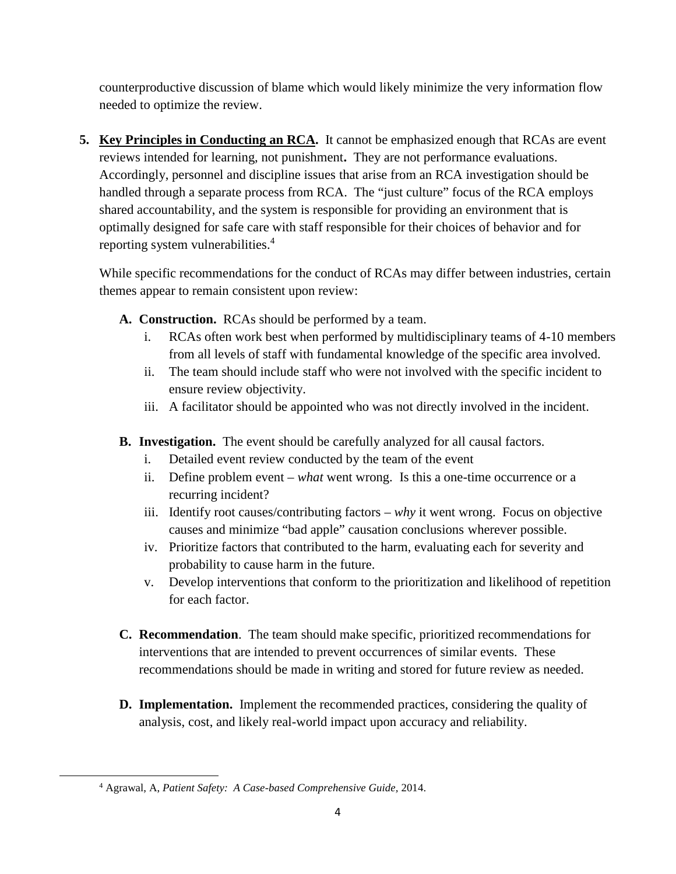counterproductive discussion of blame which would likely minimize the very information flow needed to optimize the review.

**5. Key Principles in Conducting an RCA.** It cannot be emphasized enough that RCAs are event reviews intended for learning, not punishment**.** They are not performance evaluations. Accordingly, personnel and discipline issues that arise from an RCA investigation should be handled through a separate process from RCA. The "just culture" focus of the RCA employs shared accountability, and the system is responsible for providing an environment that is optimally designed for safe care with staff responsible for their choices of behavior and for reporting system vulnerabilities.<sup>4</sup>

While specific recommendations for the conduct of RCAs may differ between industries, certain themes appear to remain consistent upon review:

- **A. Construction.** RCAs should be performed by a team.
	- i. RCAs often work best when performed by multidisciplinary teams of 4-10 members from all levels of staff with fundamental knowledge of the specific area involved.
	- ii. The team should include staff who were not involved with the specific incident to ensure review objectivity.
	- iii. A facilitator should be appointed who was not directly involved in the incident.
- **B. Investigation.** The event should be carefully analyzed for all causal factors.
	- i. Detailed event review conducted by the team of the event
	- ii. Define problem event *what* went wrong. Is this a one-time occurrence or a recurring incident?
	- iii. Identify root causes/contributing factors *why* it went wrong. Focus on objective causes and minimize "bad apple" causation conclusions wherever possible.
	- iv. Prioritize factors that contributed to the harm, evaluating each for severity and probability to cause harm in the future.
	- v. Develop interventions that conform to the prioritization and likelihood of repetition for each factor.
- **C. Recommendation**. The team should make specific, prioritized recommendations for interventions that are intended to prevent occurrences of similar events. These recommendations should be made in writing and stored for future review as needed.
- **D. Implementation.** Implement the recommended practices, considering the quality of analysis, cost, and likely real-world impact upon accuracy and reliability.

<sup>4</sup> Agrawal, A, *Patient Safety: A Case-based Comprehensive Guide,* 2014.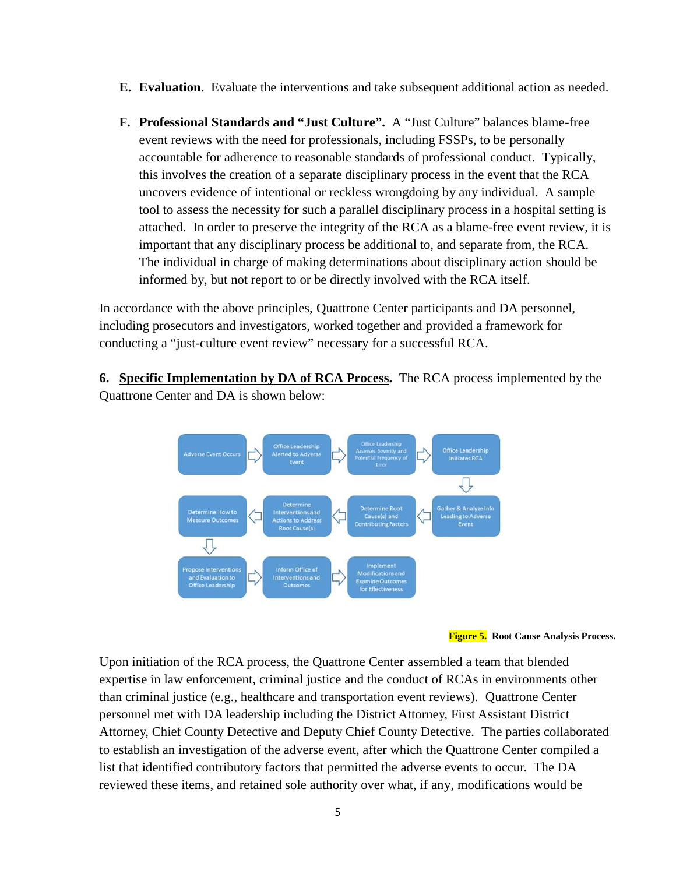- **E. Evaluation**. Evaluate the interventions and take subsequent additional action as needed.
- **F. Professional Standards and "Just Culture".** A "Just Culture" balances blame-free event reviews with the need for professionals, including FSSPs, to be personally accountable for adherence to reasonable standards of professional conduct. Typically, this involves the creation of a separate disciplinary process in the event that the RCA uncovers evidence of intentional or reckless wrongdoing by any individual. A sample tool to assess the necessity for such a parallel disciplinary process in a hospital setting is attached. In order to preserve the integrity of the RCA as a blame-free event review, it is important that any disciplinary process be additional to, and separate from, the RCA. The individual in charge of making determinations about disciplinary action should be informed by, but not report to or be directly involved with the RCA itself.

In accordance with the above principles, Quattrone Center participants and DA personnel, including prosecutors and investigators, worked together and provided a framework for conducting a "just-culture event review" necessary for a successful RCA.

**6. Specific Implementation by DA of RCA Process.** The RCA process implemented by the Quattrone Center and DA is shown below:





Upon initiation of the RCA process, the Quattrone Center assembled a team that blended expertise in law enforcement, criminal justice and the conduct of RCAs in environments other than criminal justice (e.g., healthcare and transportation event reviews). Quattrone Center personnel met with DA leadership including the District Attorney, First Assistant District Attorney, Chief County Detective and Deputy Chief County Detective. The parties collaborated to establish an investigation of the adverse event, after which the Quattrone Center compiled a list that identified contributory factors that permitted the adverse events to occur. The DA reviewed these items, and retained sole authority over what, if any, modifications would be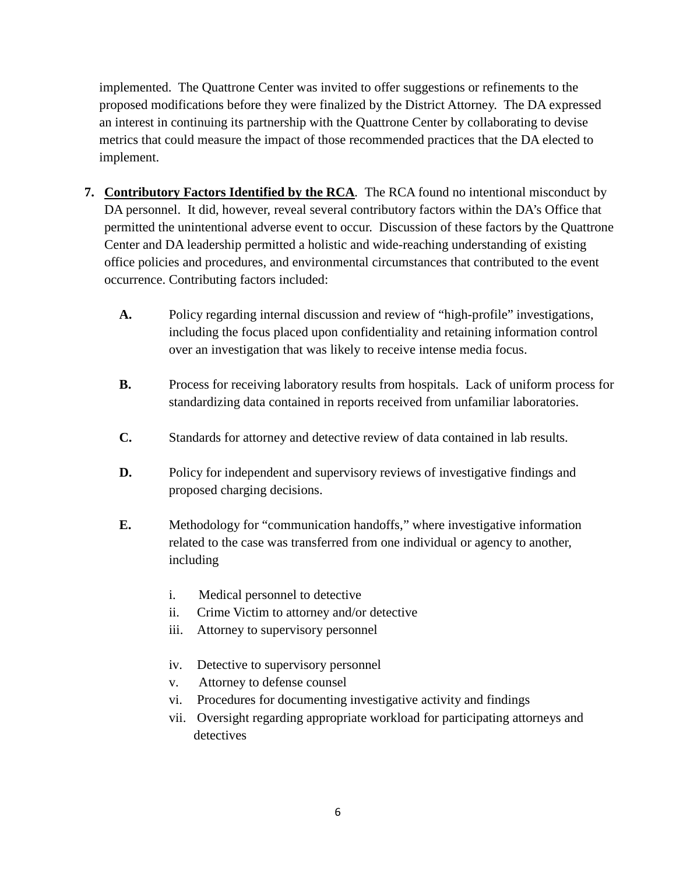implemented. The Quattrone Center was invited to offer suggestions or refinements to the proposed modifications before they were finalized by the District Attorney. The DA expressed an interest in continuing its partnership with the Quattrone Center by collaborating to devise metrics that could measure the impact of those recommended practices that the DA elected to implement.

- **7. Contributory Factors Identified by the RCA***.* The RCA found no intentional misconduct by DA personnel. It did, however, reveal several contributory factors within the DA's Office that permitted the unintentional adverse event to occur. Discussion of these factors by the Quattrone Center and DA leadership permitted a holistic and wide-reaching understanding of existing office policies and procedures, and environmental circumstances that contributed to the event occurrence. Contributing factors included:
	- **A.** Policy regarding internal discussion and review of "high-profile" investigations, including the focus placed upon confidentiality and retaining information control over an investigation that was likely to receive intense media focus.
	- **B.** Process for receiving laboratory results from hospitals. Lack of uniform process for standardizing data contained in reports received from unfamiliar laboratories.
	- **C.** Standards for attorney and detective review of data contained in lab results.
	- **D.** Policy for independent and supervisory reviews of investigative findings and proposed charging decisions.
	- **E.** Methodology for "communication handoffs," where investigative information related to the case was transferred from one individual or agency to another, including
		- i. Medical personnel to detective
		- ii. Crime Victim to attorney and/or detective
		- iii. Attorney to supervisory personnel
		- iv. Detective to supervisory personnel
		- v. Attorney to defense counsel
		- vi. Procedures for documenting investigative activity and findings
		- vii. Oversight regarding appropriate workload for participating attorneys and detectives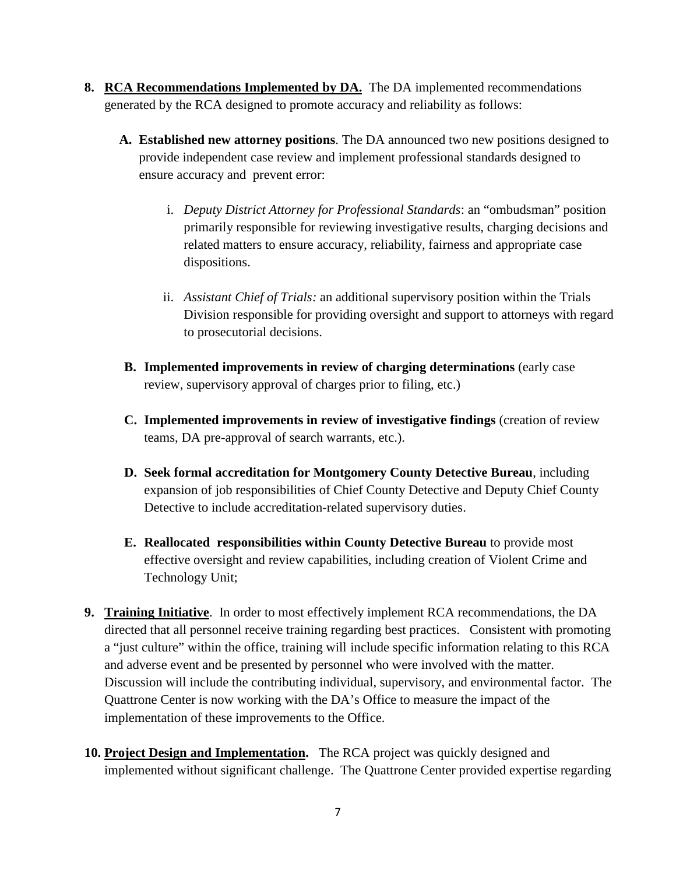- **8. RCA Recommendations Implemented by DA.** The DA implemented recommendations generated by the RCA designed to promote accuracy and reliability as follows:
	- **A. Established new attorney positions**. The DA announced two new positions designed to provide independent case review and implement professional standards designed to ensure accuracy and prevent error:
		- i. *Deputy District Attorney for Professional Standards*: an "ombudsman" position primarily responsible for reviewing investigative results, charging decisions and related matters to ensure accuracy, reliability, fairness and appropriate case dispositions.
		- ii. *Assistant Chief of Trials:* an additional supervisory position within the Trials Division responsible for providing oversight and support to attorneys with regard to prosecutorial decisions.
	- **B. Implemented improvements in review of charging determinations** (early case review, supervisory approval of charges prior to filing, etc.)
	- **C. Implemented improvements in review of investigative findings** (creation of review teams, DA pre-approval of search warrants, etc.).
	- **D. Seek formal accreditation for Montgomery County Detective Bureau**, including expansion of job responsibilities of Chief County Detective and Deputy Chief County Detective to include accreditation-related supervisory duties.
	- **E. Reallocated responsibilities within County Detective Bureau** to provide most effective oversight and review capabilities, including creation of Violent Crime and Technology Unit;
- **9. Training Initiative**. In order to most effectively implement RCA recommendations, the DA directed that all personnel receive training regarding best practices. Consistent with promoting a "just culture" within the office, training will include specific information relating to this RCA and adverse event and be presented by personnel who were involved with the matter. Discussion will include the contributing individual, supervisory, and environmental factor. The Quattrone Center is now working with the DA's Office to measure the impact of the implementation of these improvements to the Office.
- **10. Project Design and Implementation.** The RCA project was quickly designed and implemented without significant challenge. The Quattrone Center provided expertise regarding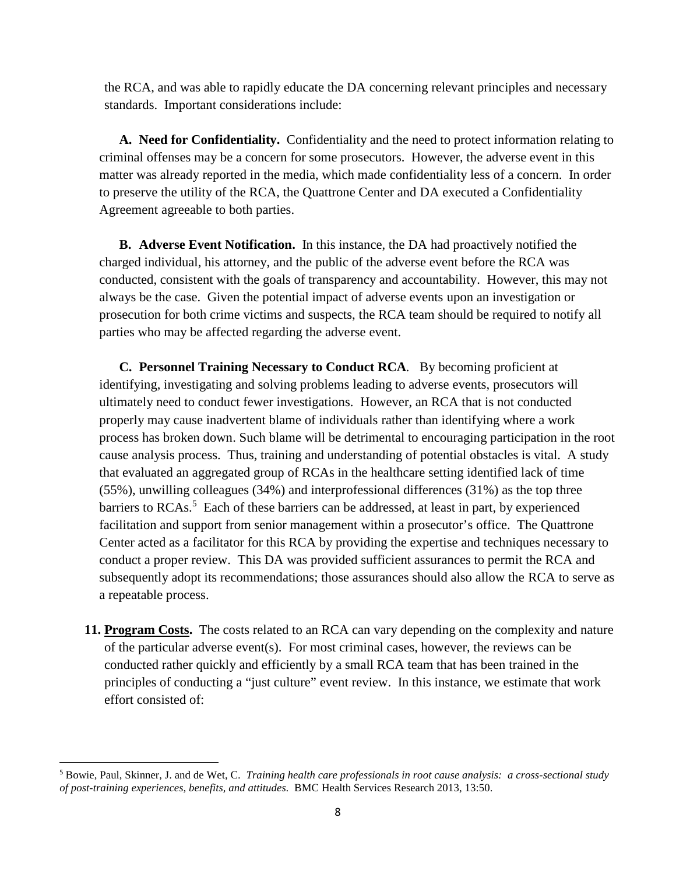the RCA, and was able to rapidly educate the DA concerning relevant principles and necessary standards. Important considerations include:

**A. Need for Confidentiality.** Confidentiality and the need to protect information relating to criminal offenses may be a concern for some prosecutors. However, the adverse event in this matter was already reported in the media, which made confidentiality less of a concern. In order to preserve the utility of the RCA, the Quattrone Center and DA executed a Confidentiality Agreement agreeable to both parties.

**B. Adverse Event Notification.** In this instance, the DA had proactively notified the charged individual, his attorney, and the public of the adverse event before the RCA was conducted, consistent with the goals of transparency and accountability. However, this may not always be the case. Given the potential impact of adverse events upon an investigation or prosecution for both crime victims and suspects, the RCA team should be required to notify all parties who may be affected regarding the adverse event.

**C. Personnel Training Necessary to Conduct RCA***.* By becoming proficient at identifying, investigating and solving problems leading to adverse events, prosecutors will ultimately need to conduct fewer investigations. However, an RCA that is not conducted properly may cause inadvertent blame of individuals rather than identifying where a work process has broken down. Such blame will be detrimental to encouraging participation in the root cause analysis process. Thus, training and understanding of potential obstacles is vital. A study that evaluated an aggregated group of RCAs in the healthcare setting identified lack of time (55%), unwilling colleagues (34%) and interprofessional differences (31%) as the top three barriers to RCAs.<sup>5</sup> Each of these barriers can be addressed, at least in part, by experienced facilitation and support from senior management within a prosecutor's office. The Quattrone Center acted as a facilitator for this RCA by providing the expertise and techniques necessary to conduct a proper review. This DA was provided sufficient assurances to permit the RCA and subsequently adopt its recommendations; those assurances should also allow the RCA to serve as a repeatable process.

**11. Program Costs.** The costs related to an RCA can vary depending on the complexity and nature of the particular adverse event(s). For most criminal cases, however, the reviews can be conducted rather quickly and efficiently by a small RCA team that has been trained in the principles of conducting a "just culture" event review. In this instance, we estimate that work effort consisted of:

<sup>5</sup> Bowie, Paul, Skinner, J. and de Wet, C. *Training health care professionals in root cause analysis: a cross-sectional study of post-training experiences, benefits, and attitudes.* BMC Health Services Research 2013, 13:50.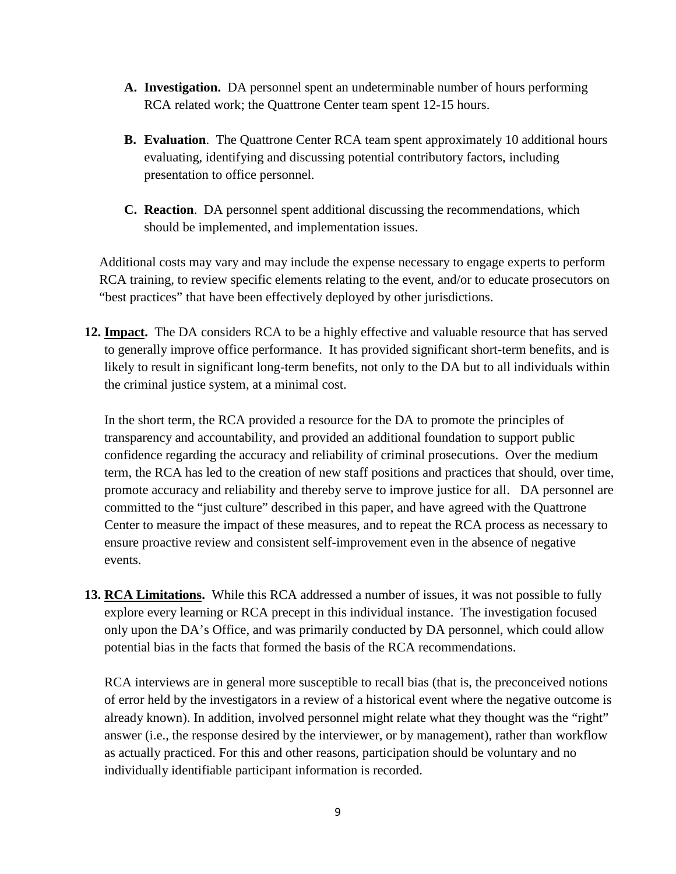- **A. Investigation.** DA personnel spent an undeterminable number of hours performing RCA related work; the Quattrone Center team spent 12-15 hours.
- **B. Evaluation**. The Quattrone Center RCA team spent approximately 10 additional hours evaluating, identifying and discussing potential contributory factors, including presentation to office personnel.
- **C. Reaction**. DA personnel spent additional discussing the recommendations, which should be implemented, and implementation issues.

Additional costs may vary and may include the expense necessary to engage experts to perform RCA training, to review specific elements relating to the event, and/or to educate prosecutors on "best practices" that have been effectively deployed by other jurisdictions.

**12. Impact.** The DA considers RCA to be a highly effective and valuable resource that has served to generally improve office performance. It has provided significant short-term benefits, and is likely to result in significant long-term benefits, not only to the DA but to all individuals within the criminal justice system, at a minimal cost.

In the short term, the RCA provided a resource for the DA to promote the principles of transparency and accountability, and provided an additional foundation to support public confidence regarding the accuracy and reliability of criminal prosecutions. Over the medium term, the RCA has led to the creation of new staff positions and practices that should, over time, promote accuracy and reliability and thereby serve to improve justice for all. DA personnel are committed to the "just culture" described in this paper, and have agreed with the Quattrone Center to measure the impact of these measures, and to repeat the RCA process as necessary to ensure proactive review and consistent self-improvement even in the absence of negative events.

**13. RCA Limitations.** While this RCA addressed a number of issues, it was not possible to fully explore every learning or RCA precept in this individual instance. The investigation focused only upon the DA's Office, and was primarily conducted by DA personnel, which could allow potential bias in the facts that formed the basis of the RCA recommendations.

RCA interviews are in general more susceptible to recall bias (that is, the preconceived notions of error held by the investigators in a review of a historical event where the negative outcome is already known). In addition, involved personnel might relate what they thought was the "right" answer (i.e., the response desired by the interviewer, or by management), rather than workflow as actually practiced. For this and other reasons, participation should be voluntary and no individually identifiable participant information is recorded.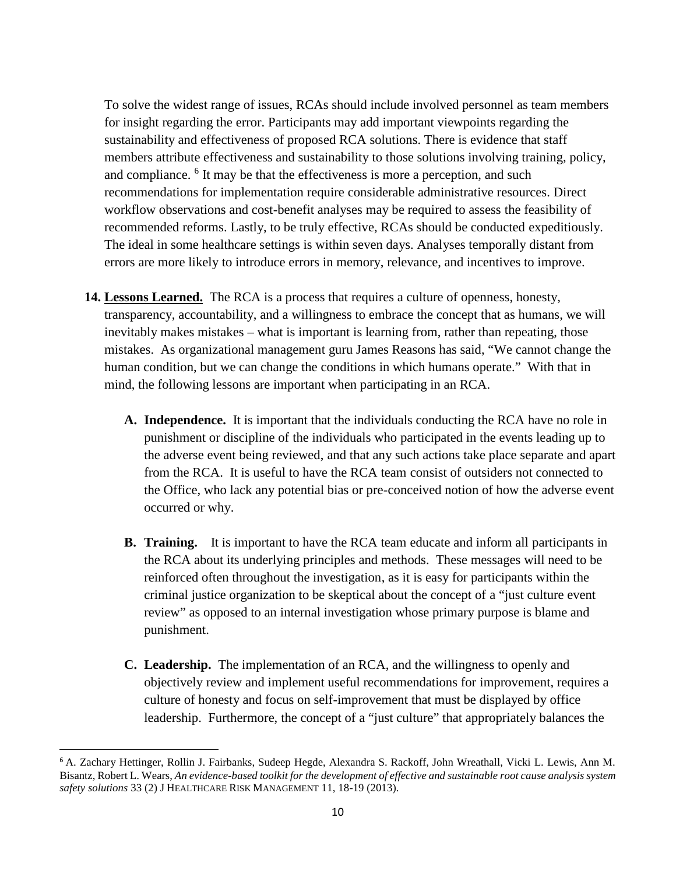To solve the widest range of issues, RCAs should include involved personnel as team members for insight regarding the error. Participants may add important viewpoints regarding the sustainability and effectiveness of proposed RCA solutions. There is evidence that staff members attribute effectiveness and sustainability to those solutions involving training, policy, and compliance. <sup>6</sup> It may be that the effectiveness is more a perception, and such recommendations for implementation require considerable administrative resources. Direct workflow observations and cost-benefit analyses may be required to assess the feasibility of recommended reforms. Lastly, to be truly effective, RCAs should be conducted expeditiously. The ideal in some healthcare settings is within seven days. Analyses temporally distant from errors are more likely to introduce errors in memory, relevance, and incentives to improve.

- **14. Lessons Learned.** The RCA is a process that requires a culture of openness, honesty, transparency, accountability, and a willingness to embrace the concept that as humans, we will inevitably makes mistakes – what is important is learning from, rather than repeating, those mistakes. As organizational management guru James Reasons has said, "We cannot change the human condition, but we can change the conditions in which humans operate." With that in mind, the following lessons are important when participating in an RCA.
	- **A. Independence.** It is important that the individuals conducting the RCA have no role in punishment or discipline of the individuals who participated in the events leading up to the adverse event being reviewed, and that any such actions take place separate and apart from the RCA. It is useful to have the RCA team consist of outsiders not connected to the Office, who lack any potential bias or pre-conceived notion of how the adverse event occurred or why.
	- **B. Training.** It is important to have the RCA team educate and inform all participants in the RCA about its underlying principles and methods. These messages will need to be reinforced often throughout the investigation, as it is easy for participants within the criminal justice organization to be skeptical about the concept of a "just culture event review" as opposed to an internal investigation whose primary purpose is blame and punishment.
	- **C. Leadership.** The implementation of an RCA, and the willingness to openly and objectively review and implement useful recommendations for improvement, requires a culture of honesty and focus on self-improvement that must be displayed by office leadership. Furthermore, the concept of a "just culture" that appropriately balances the

<sup>6</sup> A. Zachary Hettinger, Rollin J. Fairbanks, Sudeep Hegde, Alexandra S. Rackoff, John Wreathall, Vicki L. Lewis, Ann M. Bisantz, Robert L. Wears, *An evidence-based toolkit for the development of effective and sustainable root cause analysis system safety solutions* 33 (2) J HEALTHCARE RISK MANAGEMENT 11, 18-19 (2013).